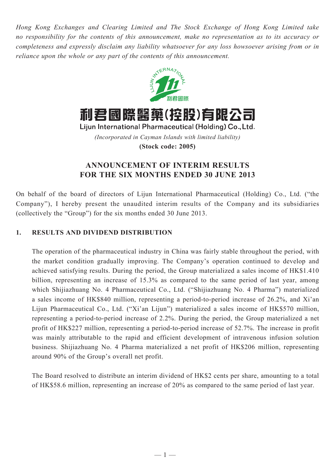*Hong Kong Exchanges and Clearing Limited and The Stock Exchange of Hong Kong Limited take no responsibility for the contents of this announcement, make no representation as to its accuracy or completeness and expressly disclaim any liability whatsoever for any loss howsoever arising from or in reliance upon the whole or any part of the contents of this announcement.*



Lijun International Pharmaceutical (Holding) Co., Ltd. *(Incorporated in Cayman Islands with limited liability)* **(Stock code: 2005)**

# **ANNOUNCEMENT OF INTERIM RESULTS FOR THE SIX MONTHS ENDED 30 JUNE 2013**

On behalf of the board of directors of Lijun International Pharmaceutical (Holding) Co., Ltd. ("the Company"), I hereby present the unaudited interim results of the Company and its subsidiaries (collectively the "Group") for the six months ended 30 June 2013.

# **1. Results and Dividend Distribution**

The operation of the pharmaceutical industry in China was fairly stable throughout the period, with the market condition gradually improving. The Company's operation continued to develop and achieved satisfying results. During the period, the Group materialized a sales income of HK\$1.410 billion, representing an increase of 15.3% as compared to the same period of last year, among which Shijiazhuang No. 4 Pharmaceutical Co., Ltd. ("Shijiazhuang No. 4 Pharma") materialized a sales income of HK\$840 million, representing a period-to-period increase of 26.2%, and Xi'an Lijun Pharmaceutical Co., Ltd. ("Xi'an Lijun") materialized a sales income of HK\$570 million, representing a period-to-period increase of 2.2%. During the period, the Group materialized a net profit of HK\$227 million, representing a period-to-period increase of 52.7%. The increase in profit was mainly attributable to the rapid and efficient development of intravenous infusion solution business. Shijiazhuang No. 4 Pharma materialized a net profit of HK\$206 million, representing around 90% of the Group's overall net profit.

The Board resolved to distribute an interim dividend of HK\$2 cents per share, amounting to a total of HK\$58.6 million, representing an increase of 20% as compared to the same period of last year.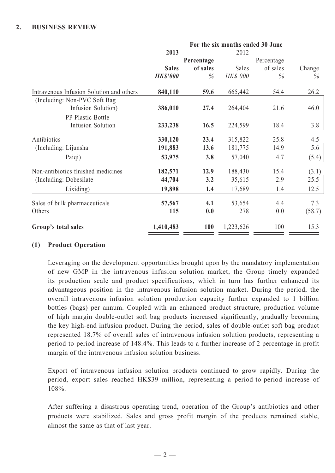|                                          | For the six months ended 30 June |            |           |            |        |  |  |
|------------------------------------------|----------------------------------|------------|-----------|------------|--------|--|--|
|                                          | 2013                             | Percentage | 2012      | Percentage |        |  |  |
|                                          | <b>Sales</b>                     | of sales   | Sales     | of sales   | Change |  |  |
|                                          | <b>HK\$'000</b>                  | $\%$       | HK\$'000  | $\%$       | $\%$   |  |  |
| Intravenous Infusion Solution and others | 840,110                          | 59.6       | 665,442   | 54.4       | 26.2   |  |  |
| (Including: Non-PVC Soft Bag)            |                                  |            |           |            |        |  |  |
| Infusion Solution)                       | 386,010                          | 27.4       | 264,404   | 21.6       | 46.0   |  |  |
| PP Plastic Bottle                        |                                  |            |           |            |        |  |  |
| <b>Infusion Solution</b>                 | 233,238                          | 16.5       | 224,599   | 18.4       | 3.8    |  |  |
| Antibiotics                              | 330,120                          | 23.4       | 315,822   | 25.8       | 4.5    |  |  |
| (Including: Lijunsha)                    | 191,883                          | 13.6       | 181,775   | 14.9       | 5.6    |  |  |
| Paiqi)                                   | 53,975                           | 3.8        | 57,040    | 4.7        | (5.4)  |  |  |
| Non-antibiotics finished medicines       | 182,571                          | 12.9       | 188,430   | 15.4       | (3.1)  |  |  |
| (Including: Dobesilate)                  | 44,704                           | 3.2        | 35,615    | 2.9        | 25.5   |  |  |
| Lixiding)                                | 19,898                           | 1.4        | 17,689    | 1.4        | 12.5   |  |  |
| Sales of bulk pharmaceuticals            | 57,567                           | 4.1        | 53,654    | 4.4        | 7.3    |  |  |
| Others                                   | 115                              | 0.0        | 278       | 0.0        | (58.7) |  |  |
| Group's total sales                      | 1,410,483                        | <b>100</b> | 1,223,626 | 100        | 15.3   |  |  |

## **(1) Product Operation**

Leveraging on the development opportunities brought upon by the mandatory implementation of new GMP in the intravenous infusion solution market, the Group timely expanded its production scale and product specifications, which in turn has further enhanced its advantageous position in the intravenous infusion solution market. During the period, the overall intravenous infusion solution production capacity further expanded to 1 billion bottles (bags) per annum. Coupled with an enhanced product structure, production volume of high margin double-outlet soft bag products increased significantly, gradually becoming the key high-end infusion product. During the period, sales of double-outlet soft bag product represented 18.7% of overall sales of intravenous infusion solution products, representing a period-to-period increase of 148.4%. This leads to a further increase of 2 percentage in profit margin of the intravenous infusion solution business.

Export of intravenous infusion solution products continued to grow rapidly. During the period, export sales reached HK\$39 million, representing a period-to-period increase of 108%.

After suffering a disastrous operating trend, operation of the Group's antibiotics and other products were stabilized. Sales and gross profit margin of the products remained stable, almost the same as that of last year.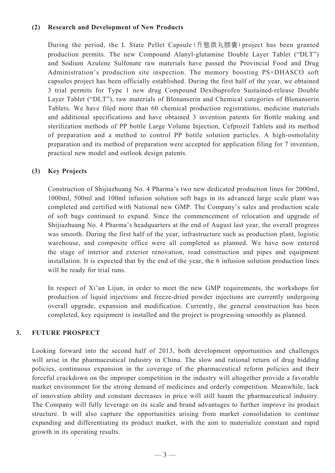## **(2) Research and Development of New Products**

During the period, the L State Pellet Capsule (升態微丸膠囊) project has been granted production permits. The new Compound Alanyl-glutamine Double Layer Tablet ("DLT") and Sodium Azulene Sulfonate raw materials have passed the Provincial Food and Drug Administration's production site inspection. The memory boosting PS+DHASCO soft capsules project has been officially established. During the first half of the year, we obtained 3 trial permits for Type 1 new drug Compound Dexibuprofen Sustained-release Double Layer Tablet ("DLT"), raw materials of Blonanserin and Chemical categories of Blonanserin Tablets. We have filed more than 60 chemical production registrations, medicine materials and additional specifications and have obtained 3 invention patents for Bottle making and sterilization methods of PP bottle Large Volume Injection, Cefprozil Tablets and its method of preparation and a method to control PP bottle solution particles. A high-osmolality preparation and its method of preparation were accepted for application filing for 7 invention, practical new model and outlook design patents.

## **(3) Key Projects**

Construction of Shijiazhuang No. 4 Pharma's two new dedicated production lines for 2000ml, 1000ml, 500ml and 100ml infusion solution soft bags in its advanced large scale plant was completed and certified with National new GMP. The Company's sales and production scale of soft bags continued to expand. Since the commencement of relocation and upgrade of Shijiazhuang No. 4 Pharma's headquarters at the end of August last year, the overall progress was smooth. During the first half of the year, infrastructure such as production plant, logistic warehouse, and composite office were all completed as planned. We have now entered the stage of interior and exterior renovation, road construction and pipes and equipment installation. It is expected that by the end of the year, the 6 infusion solution production lines will be ready for trial runs.

In respect of Xi'an Lijun, in order to meet the new GMP requirements, the workshops for production of liquid injections and freeze-dried powder injections are currently undergoing overall upgrade, expansion and modification. Currently, the general construction has been completed, key equipment is installed and the project is progressing smoothly as planned.

# **3. Future Prospect**

Looking forward into the second half of 2013, both development opportunities and challenges will arise in the pharmaceutical industry in China. The slow and rational return of drug bidding policies, continuous expansion in the coverage of the pharmaceutical reform policies and their forceful crackdown on the improper competition in the industry will altogether provide a favorable market environment for the strong demand of medicines and orderly competition. Meanwhile, lack of innovation ability and constant decreases in price will still haunt the pharmaceutical industry. The Company will fully leverage on its scale and brand advantages to further improve its product structure. It will also capture the opportunities arising from market consolidation to continue expanding and differentiating its product market, with the aim to materialize constant and rapid growth in its operating results.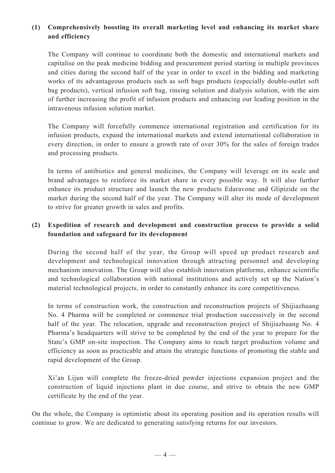# **(1) Comprehensively boosting its overall marketing level and enhancing its market share and efficiency**

The Company will continue to coordinate both the domestic and international markets and capitalise on the peak medicine bidding and procurement period starting in multiple provinces and cities during the second half of the year in order to excel in the bidding and marketing works of its advantageous products such as soft bags products (especially double-outlet soft bag products), vertical infusion soft bag, rinsing solution and dialysis solution, with the aim of further increasing the profit of infusion products and enhancing our leading position in the intravenous infusion solution market.

The Company will forcefully commence international registration and certification for its infusion products, expand the international markets and extend international collaboration in every direction, in order to ensure a growth rate of over 30% for the sales of foreign trades and processing products.

In terms of antibiotics and general medicines, the Company will leverage on its scale and brand advantages to reinforce its market share in every possible way. It will also further enhance its product structure and launch the new products Edaravone and Glipizide on the market during the second half of the year. The Company will alter its mode of development to strive for greater growth in sales and profits.

# **(2) Expedition of research and development and construction process to provide a solid foundation and safeguard for its development**

During the second half of the year, the Group will speed up product research and development and technological innovation through attracting personnel and developing mechanism innovation. The Group will also establish innovation platforms, enhance scientific and technological collaboration with national institutions and actively set up the Nation's material technological projects, in order to constantly enhance its core competitiveness.

In terms of construction work, the construction and reconstruction projects of Shijiazhuang No. 4 Pharma will be completed or commence trial production successively in the second half of the year. The relocation, upgrade and reconstruction project of Shijiazhuang No. 4 Pharma's headquarters will strive to be completed by the end of the year to prepare for the State's GMP on-site inspection. The Company aims to reach target production volume and efficiency as soon as practicable and attain the strategic functions of promoting the stable and rapid development of the Group.

Xi'an Lijun will complete the freeze-dried powder injections expansion project and the construction of liquid injections plant in due course, and strive to obtain the new GMP certificate by the end of the year.

On the whole, the Company is optimistic about its operating position and its operation results will continue to grow. We are dedicated to generating satisfying returns for our investors.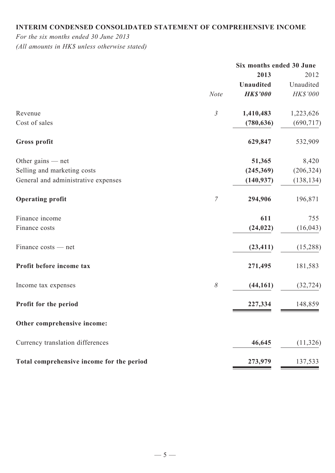# **Interim condensed consolidated statement of comprehensive income**

*For the six months ended 30 June 2013*

*(All amounts in HK\$ unless otherwise stated)*

|                                           |                | Six months ended 30 June |            |
|-------------------------------------------|----------------|--------------------------|------------|
|                                           |                | 2013                     | 2012       |
|                                           |                | <b>Unaudited</b>         | Unaudited  |
|                                           | <b>Note</b>    | <b>HK\$'000</b>          | HK\$'000   |
| Revenue                                   | $\mathfrak{Z}$ | 1,410,483                | 1,223,626  |
| Cost of sales                             |                | (780, 636)               | (690, 717) |
| <b>Gross profit</b>                       |                | 629,847                  | 532,909    |
| Other gains $-$ net                       |                | 51,365                   | 8,420      |
| Selling and marketing costs               |                | (245,369)                | (206, 324) |
| General and administrative expenses       |                | (140, 937)               | (138, 134) |
| <b>Operating profit</b>                   | $\overline{7}$ | 294,906                  | 196,871    |
| Finance income                            |                | 611                      | 755        |
| Finance costs                             |                | (24, 022)                | (16, 043)  |
| Finance costs — net                       |                | (23, 411)                | (15,288)   |
| Profit before income tax                  |                | 271,495                  | 181,583    |
| Income tax expenses                       | $\delta$       | (44, 161)                | (32, 724)  |
| Profit for the period                     |                | 227,334                  | 148,859    |
| Other comprehensive income:               |                |                          |            |
| Currency translation differences          |                | 46,645                   | (11, 326)  |
| Total comprehensive income for the period |                | 273,979                  | 137,533    |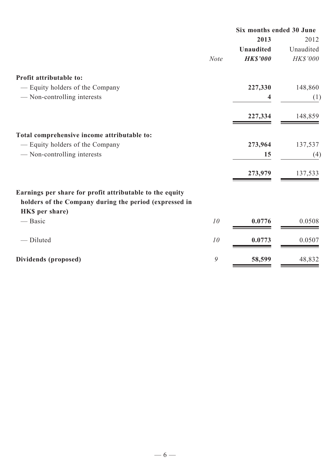|                                                          |             | Six months ended 30 June |           |  |
|----------------------------------------------------------|-------------|--------------------------|-----------|--|
|                                                          |             | 2013                     | 2012      |  |
|                                                          |             | <b>Unaudited</b>         | Unaudited |  |
|                                                          | <b>Note</b> | <b>HK\$'000</b>          | HK\$'000  |  |
| Profit attributable to:                                  |             |                          |           |  |
| — Equity holders of the Company                          |             | 227,330                  | 148,860   |  |
| - Non-controlling interests                              |             | 4                        | (1)       |  |
|                                                          |             | 227,334                  | 148,859   |  |
| Total comprehensive income attributable to:              |             |                          |           |  |
| — Equity holders of the Company                          |             | 273,964                  | 137,537   |  |
| - Non-controlling interests                              |             | 15                       | (4)       |  |
|                                                          |             | 273,979                  | 137,533   |  |
| Earnings per share for profit attributable to the equity |             |                          |           |  |
| holders of the Company during the period (expressed in   |             |                          |           |  |
| HKS per share)                                           |             |                          |           |  |
| — Basic                                                  | 10          | 0.0776                   | 0.0508    |  |
| - Diluted                                                | 10          | 0.0773                   | 0.0507    |  |
| Dividends (proposed)                                     | 9           | 58,599                   | 48,832    |  |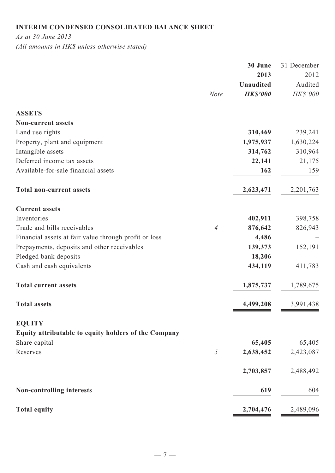# **Interim condensed consolidated balance sheet**

*As at 30 June 2013*

*(All amounts in HK\$ unless otherwise stated)*

|                | 30 June          | 31 December |
|----------------|------------------|-------------|
|                | 2013             | 2012        |
|                | <b>Unaudited</b> | Audited     |
| <b>Note</b>    | <b>HK\$'000</b>  | HK\$'000    |
|                |                  |             |
|                |                  |             |
|                |                  | 239,241     |
|                | 1,975,937        | 1,630,224   |
|                | 314,762          | 310,964     |
|                | 22,141           | 21,175      |
|                | 162              | 159         |
|                | 2,623,471        | 2,201,763   |
|                |                  |             |
|                | 402,911          | 398,758     |
| $\overline{4}$ | 876,642          | 826,943     |
|                | 4,486            |             |
|                | 139,373          | 152,191     |
|                | 18,206           |             |
|                | 434,119          | 411,783     |
|                | 1,875,737        | 1,789,675   |
|                | 4,499,208        | 3,991,438   |
|                |                  |             |
|                |                  |             |
|                | 65,405           | 65,405      |
| 5              | 2,638,452        | 2,423,087   |
|                | 2,703,857        | 2,488,492   |
|                | 619              | 604         |
|                | 2,704,476        | 2,489,096   |
|                |                  | 310,469     |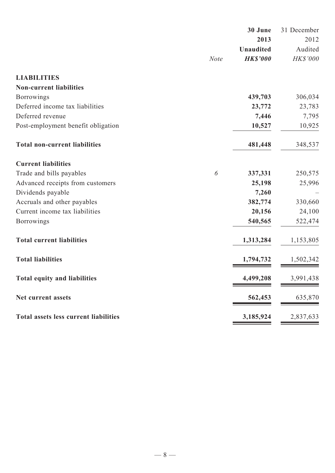|                                              |             | 30 June          | 31 December |
|----------------------------------------------|-------------|------------------|-------------|
|                                              |             | 2013             | 2012        |
|                                              |             | <b>Unaudited</b> | Audited     |
|                                              | <b>Note</b> | <b>HK\$'000</b>  | HK\$'000    |
| <b>LIABILITIES</b>                           |             |                  |             |
| <b>Non-current liabilities</b>               |             |                  |             |
| <b>Borrowings</b>                            |             | 439,703          | 306,034     |
| Deferred income tax liabilities              |             | 23,772           | 23,783      |
| Deferred revenue                             |             | 7,446            | 7,795       |
| Post-employment benefit obligation           |             | 10,527           | 10,925      |
| <b>Total non-current liabilities</b>         |             | 481,448          | 348,537     |
| <b>Current liabilities</b>                   |             |                  |             |
| Trade and bills payables                     | 6           | 337,331          | 250,575     |
| Advanced receipts from customers             |             | 25,198           | 25,996      |
| Dividends payable                            |             | 7,260            |             |
| Accruals and other payables                  |             | 382,774          | 330,660     |
| Current income tax liabilities               |             | 20,156           | 24,100      |
| <b>Borrowings</b>                            |             | 540,565          | 522,474     |
| <b>Total current liabilities</b>             |             | 1,313,284        | 1,153,805   |
| <b>Total liabilities</b>                     |             | 1,794,732        | 1,502,342   |
| <b>Total equity and liabilities</b>          |             | 4,499,208        | 3,991,438   |
| Net current assets                           |             | 562,453          | 635,870     |
| <b>Total assets less current liabilities</b> |             | 3,185,924        | 2,837,633   |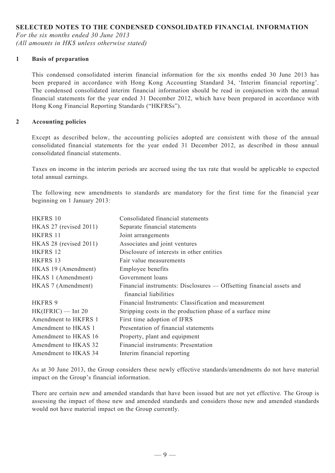## **SELECTED NOTES TO THE CONDENSED CONSOLIDATED FINANCIAL INFORMATION**

*For the six months ended 30 June 2013 (All amounts in HK\$ unless otherwise stated)*

#### **1 Basis of preparation**

This condensed consolidated interim financial information for the six months ended 30 June 2013 has been prepared in accordance with Hong Kong Accounting Standard 34, 'Interim financial reporting'. The condensed consolidated interim financial information should be read in conjunction with the annual financial statements for the year ended 31 December 2012, which have been prepared in accordance with Hong Kong Financial Reporting Standards ("HKFRSs").

#### **2 Accounting policies**

Except as described below, the accounting policies adopted are consistent with those of the annual consolidated financial statements for the year ended 31 December 2012, as described in those annual consolidated financial statements.

Taxes on income in the interim periods are accrued using the tax rate that would be applicable to expected total annual earnings.

The following new amendments to standards are mandatory for the first time for the financial year beginning on 1 January 2013:

| HKFRS 10                    | Consolidated financial statements                                    |
|-----------------------------|----------------------------------------------------------------------|
| HKAS $27$ (revised $2011$ ) | Separate financial statements                                        |
| HKFRS 11                    | Joint arrangements                                                   |
| HKAS 28 (revised 2011)      | Associates and joint ventures                                        |
| HKFRS 12                    | Disclosure of interests in other entities                            |
| HKFRS 13                    | Fair value measurements                                              |
| HKAS 19 (Amendment)         | Employee benefits                                                    |
| HKAS 1 (Amendment)          | Government loans                                                     |
| HKAS 7 (Amendment)          | Financial instruments: Disclosures — Offsetting financial assets and |
|                             | financial liabilities                                                |
| <b>HKFRS 9</b>              | Financial Instruments: Classification and measurement                |
| $HK(IFRIC)$ — Int 20        | Stripping costs in the production phase of a surface mine            |
| Amendment to HKFRS 1        | First time adoption of IFRS                                          |
| Amendment to HKAS 1         | Presentation of financial statements                                 |
| Amendment to HKAS 16        | Property, plant and equipment                                        |
| Amendment to HKAS 32        | Financial instruments: Presentation                                  |
| Amendment to HKAS 34        | Interim financial reporting                                          |

As at 30 June 2013, the Group considers these newly effective standards/amendments do not have material impact on the Group's financial information.

There are certain new and amended standards that have been issued but are not yet effective. The Group is assessing the impact of those new and amended standards and considers those new and amended standards would not have material impact on the Group currently.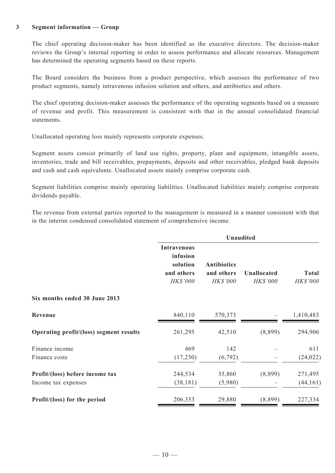#### **3 Segment information — Group**

The chief operating decision-maker has been identified as the executive directors. The decision-maker reviews the Group's internal reporting in order to assess performance and allocate resources. Management has determined the operating segments based on these reports.

The Board considers the business from a product perspective, which assesses the performance of two product segments, namely intravenous infusion solution and others, and antibiotics and others.

The chief operating decision-maker assesses the performance of the operating segments based on a measure of revenue and profit. This measurement is consistent with that in the annual consolidated financial statements.

Unallocated operating loss mainly represents corporate expenses.

Segment assets consist primarily of land use rights, property, plant and equipment, intangible assets, inventories, trade and bill receivables, prepayments, deposits and other receivables, pledged bank deposits and cash and cash equivalents. Unallocated assets mainly comprise corporate cash.

Segment liabilities comprise mainly operating liabilities. Unallocated liabilities mainly comprise corporate dividends payable.

The revenue from external parties reported to the management is measured in a manner consistent with that in the interim condensed consolidated statement of comprehensive income.

|                                         | <b>Unaudited</b>                                                     |                                              |                                |                          |  |  |
|-----------------------------------------|----------------------------------------------------------------------|----------------------------------------------|--------------------------------|--------------------------|--|--|
|                                         | <b>Intravenous</b><br>infusion<br>solution<br>and others<br>HK\$'000 | <b>Antibiotics</b><br>and others<br>HK\$'000 | Unallocated<br><b>HK\$'000</b> | <b>Total</b><br>HK\$'000 |  |  |
| Six months ended 30 June 2013           |                                                                      |                                              |                                |                          |  |  |
| Revenue                                 | 840,110                                                              | 570,373                                      |                                | 1,410,483                |  |  |
| Operating profit/(loss) segment results | 261,295                                                              | 42,510                                       | (8,899)                        | 294,906                  |  |  |
| Finance income                          | 469                                                                  | 142                                          |                                | 611                      |  |  |
| Finance costs                           | (17,230)                                                             | (6, 792)                                     |                                | (24, 022)                |  |  |
| Profit/(loss) before income tax         | 244,534                                                              | 35,860                                       | (8,899)                        | 271,495                  |  |  |
| Income tax expenses                     | (38, 181)                                                            | (5,980)                                      |                                | (44, 161)                |  |  |
| Profit/(loss) for the period            | 206,353                                                              | 29,880                                       | (8,899)                        | 227,334                  |  |  |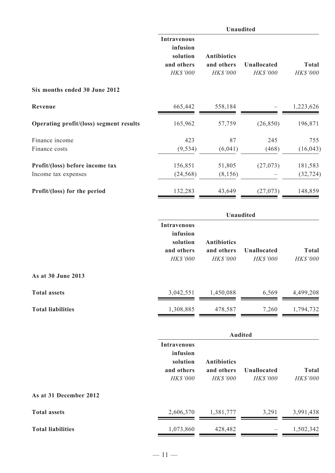|                                         | Unaudited                                                                                                                          |         |                                |                                 |  |  |
|-----------------------------------------|------------------------------------------------------------------------------------------------------------------------------------|---------|--------------------------------|---------------------------------|--|--|
|                                         | <b>Intravenous</b><br>infusion<br>solution<br><b>Antibiotics</b><br>and others<br>and others<br><b>HK\$'000</b><br><b>HK\$'000</b> |         | <b>Unallocated</b><br>HK\$'000 | <b>Total</b><br><b>HK\$'000</b> |  |  |
| Six months ended 30 June 2012           |                                                                                                                                    |         |                                |                                 |  |  |
| Revenue                                 | 665,442                                                                                                                            | 558,184 |                                | 1,223,626                       |  |  |
| Operating profit/(loss) segment results | 165,962                                                                                                                            | 57,759  | (26, 850)                      | 196,871                         |  |  |
| Finance income                          | 423                                                                                                                                | 87      | 245                            | 755                             |  |  |
| Finance costs                           | (9, 534)                                                                                                                           | (6,041) | (468)                          | (16, 043)                       |  |  |
| Profit/(loss) before income tax         | 156,851                                                                                                                            | 51,805  | (27,073)                       | 181,583                         |  |  |
| Income tax expenses                     | (24, 568)                                                                                                                          | (8,156) |                                | (32, 724)                       |  |  |
| Profit/(loss) for the period            | 132,283                                                                                                                            | 43,649  | (27,073)                       | 148,859                         |  |  |

|                          |                                                                             | <b>Unaudited</b>                                    |                                       |                          |  |  |  |
|--------------------------|-----------------------------------------------------------------------------|-----------------------------------------------------|---------------------------------------|--------------------------|--|--|--|
|                          | <b>Intravenous</b><br>infusion<br>solution<br>and others<br><b>HK\$'000</b> | <b>Antibiotics</b><br>and others<br><b>HK\$'000</b> | <b>Unallocated</b><br><b>HK\$'000</b> | <b>Total</b><br>HK\$'000 |  |  |  |
| As at 30 June 2013       |                                                                             |                                                     |                                       |                          |  |  |  |
| <b>Total assets</b>      | 3,042,551                                                                   | 1,450,088                                           | 6,569                                 | 4,499,208                |  |  |  |
| <b>Total liabilities</b> | 1,308,885                                                                   | 478,587                                             | 7,260                                 | 1,794,732                |  |  |  |

|                          |                                                                             | <b>Audited</b>                                      |                                       |                                 |  |  |  |
|--------------------------|-----------------------------------------------------------------------------|-----------------------------------------------------|---------------------------------------|---------------------------------|--|--|--|
|                          | <b>Intravenous</b><br>infusion<br>solution<br>and others<br><b>HK\$'000</b> | <b>Antibiotics</b><br>and others<br><b>HK\$'000</b> | <b>Unallocated</b><br><b>HK\$'000</b> | <b>Total</b><br><b>HK\$'000</b> |  |  |  |
| As at 31 December 2012   |                                                                             |                                                     |                                       |                                 |  |  |  |
| <b>Total assets</b>      | 2,606,370                                                                   | 1,381,777                                           | 3,291                                 | 3,991,438                       |  |  |  |
| <b>Total liabilities</b> | 1,073,860                                                                   | 428,482                                             |                                       | 1,502,342                       |  |  |  |
|                          |                                                                             |                                                     |                                       |                                 |  |  |  |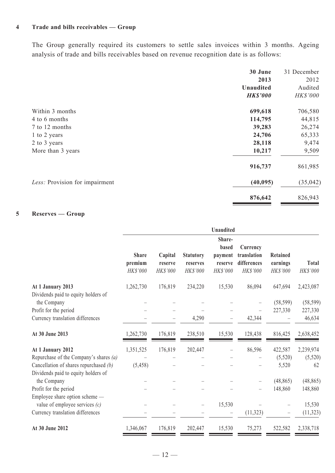## **4 Trade and bills receivables — Group**

The Group generally required its customers to settle sales invoices within 3 months. Ageing analysis of trade and bills receivables based on revenue recognition date is as follows:

|                                | 30 June          | 31 December     |
|--------------------------------|------------------|-----------------|
|                                | 2013             | 2012            |
|                                | <b>Unaudited</b> | Audited         |
|                                | <b>HK\$'000</b>  | <b>HK\$'000</b> |
| Within 3 months                | 699,618          | 706,580         |
| 4 to 6 months                  | 114,795          | 44,815          |
| 7 to 12 months                 | 39,283           | 26,274          |
| 1 to 2 years                   | 24,706           | 65,333          |
| 2 to 3 years                   | 28,118           | 9,474           |
| More than 3 years              | 10,217           | 9,509           |
|                                | 916,737          | 861,985         |
| Less: Provision for impairment | (40, 095)        | (35, 042)       |
|                                | 876,642          | 826,943         |

## **5 Reserves — Group**

|                                                                    | <b>Unaudited</b>                    |                                |                                          |                                                   |                                                    |                                         |                   |
|--------------------------------------------------------------------|-------------------------------------|--------------------------------|------------------------------------------|---------------------------------------------------|----------------------------------------------------|-----------------------------------------|-------------------|
|                                                                    | <b>Share</b><br>premium<br>HK\$'000 | Capital<br>reserve<br>HK\$'000 | <b>Statutory</b><br>reserves<br>HK\$'000 | Share-<br>based<br>payment<br>reserve<br>HK\$'000 | Currency<br>translation<br>differences<br>HK\$'000 | <b>Retained</b><br>earnings<br>HK\$'000 | Total<br>HK\$'000 |
| At 1 January 2013<br>Dividends paid to equity holders of           | 1,262,730                           | 176,819                        | 234,220                                  | 15,530                                            | 86,094                                             | 647,694                                 | 2,423,087         |
| the Company                                                        |                                     |                                |                                          |                                                   |                                                    | (58, 599)                               | (58, 599)         |
| Profit for the period                                              |                                     |                                |                                          |                                                   |                                                    | 227,330                                 | 227,330           |
| Currency translation differences                                   |                                     |                                | 4,290                                    |                                                   | 42,344                                             |                                         | 46,634            |
| At 30 June 2013                                                    | 1,262,730                           | 176,819                        | 238,510                                  | 15,530                                            | 128,438                                            | 816,425                                 | 2,638,452         |
| At 1 January 2012                                                  | 1,351,525                           | 176,819                        | 202,447                                  | -                                                 | 86,596                                             | 422,587                                 | 2,239,974         |
| Repurchase of the Company's shares $(a)$                           |                                     |                                |                                          |                                                   |                                                    | (5,520)                                 | (5,520)           |
| Cancellation of shares repurchased (b)                             | (5, 458)                            |                                |                                          |                                                   |                                                    | 5,520                                   | 62                |
| Dividends paid to equity holders of                                |                                     |                                |                                          |                                                   |                                                    |                                         |                   |
| the Company                                                        |                                     |                                |                                          |                                                   |                                                    | (48, 865)                               | (48, 865)         |
| Profit for the period                                              |                                     |                                |                                          |                                                   | $\qquad \qquad -$                                  | 148,860                                 | 148,860           |
| Employee share option scheme —<br>value of employee services $(c)$ |                                     |                                |                                          | 15,530                                            |                                                    |                                         | 15,530            |
| Currency translation differences                                   |                                     |                                |                                          |                                                   | (11, 323)                                          |                                         | (11, 323)         |
| At 30 June 2012                                                    | 1,346,067                           | 176,819                        | 202,447                                  | 15,530                                            | 75,273                                             | 522,582                                 | 2,338,718         |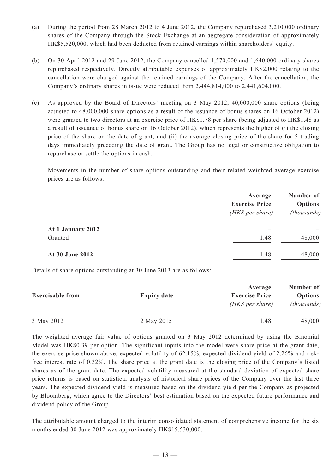- (a) During the period from 28 March 2012 to 4 June 2012, the Company repurchased 3,210,000 ordinary shares of the Company through the Stock Exchange at an aggregate consideration of approximately HK\$5,520,000, which had been deducted from retained earnings within shareholders' equity.
- (b) On 30 April 2012 and 29 June 2012, the Company cancelled 1,570,000 and 1,640,000 ordinary shares repurchased respectively. Directly attributable expenses of approximately HK\$2,000 relating to the cancellation were charged against the retained earnings of the Company. After the cancellation, the Company's ordinary shares in issue were reduced from 2,444,814,000 to 2,441,604,000.
- (c) As approved by the Board of Directors' meeting on 3 May 2012, 40,000,000 share options (being adjusted to 48,000,000 share options as a result of the issuance of bonus shares on 16 October 2012) were granted to two directors at an exercise price of HK\$1.78 per share (being adjusted to HK\$1.48 as a result of issuance of bonus share on 16 October 2012), which represents the higher of (i) the closing price of the share on the date of grant; and (ii) the average closing price of the share for 5 trading days immediately preceding the date of grant. The Group has no legal or constructive obligation to repurchase or settle the options in cash.

Movements in the number of share options outstanding and their related weighted average exercise prices are as follows:

|                   | Average<br><b>Exercise Price</b><br>(HK\$ per share) | Number of<br><b>Options</b><br>(thousands) |
|-------------------|------------------------------------------------------|--------------------------------------------|
| At 1 January 2012 |                                                      |                                            |
| Granted           | 1.48                                                 | 48,000                                     |
| At 30 June 2012   | 1.48                                                 | 48,000                                     |

Details of share options outstanding at 30 June 2013 are as follows:

|                    | Average                                    | Number of                            |
|--------------------|--------------------------------------------|--------------------------------------|
| <b>Expiry date</b> | <b>Exercise Price</b><br>$(HK\$ per share) | <b>Options</b><br><i>(thousands)</i> |
| 2 May 2015         | 1.48                                       | 48,000                               |
|                    |                                            |                                      |

The weighted average fair value of options granted on 3 May 2012 determined by using the Binomial Model was HK\$0.39 per option. The significant inputs into the model were share price at the grant date, the exercise price shown above, expected volatility of 62.15%, expected dividend yield of 2.26% and riskfree interest rate of 0.32%. The share price at the grant date is the closing price of the Company's listed shares as of the grant date. The expected volatility measured at the standard deviation of expected share price returns is based on statistical analysis of historical share prices of the Company over the last three years. The expected dividend yield is measured based on the dividend yield per the Company as projected by Bloomberg, which agree to the Directors' best estimation based on the expected future performance and dividend policy of the Group.

The attributable amount charged to the interim consolidated statement of comprehensive income for the six months ended 30 June 2012 was approximately HK\$15,530,000.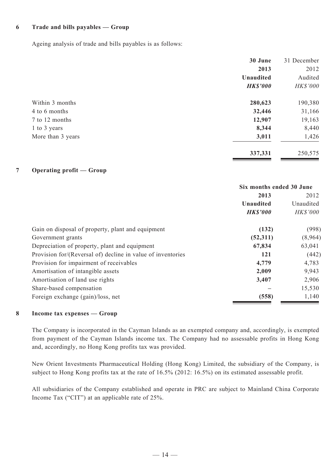#### **6 Trade and bills payables — Group**

Ageing analysis of trade and bills payables is as follows:

| 30 June          | 31 December     |
|------------------|-----------------|
| 2013             | 2012            |
| <b>Unaudited</b> | Audited         |
| <b>HK\$'000</b>  | <b>HK\$'000</b> |
| 280,623          | 190,380         |
| 32,446           | 31,166          |
| 12,907           | 19,163          |
| 8,344            | 8,440           |
| 3,011            | 1,426           |
| 337,331          | 250,575         |
|                  |                 |

## **7 Operating profit — Group**

|                                                             | Six months ended 30 June |                 |           |
|-------------------------------------------------------------|--------------------------|-----------------|-----------|
|                                                             | 2013                     | 2012            |           |
|                                                             | <b>Unaudited</b>         |                 | Unaudited |
|                                                             | <b>HK\$'000</b>          | <b>HK\$'000</b> |           |
| Gain on disposal of property, plant and equipment           | (132)                    | (998)           |           |
| Government grants                                           | (52,311)                 | (8,964)         |           |
| Depreciation of property, plant and equipment               | 67,834                   | 63,041          |           |
| Provision for/(Reversal of) decline in value of inventories | 121                      | (442)           |           |
| Provision for impairment of receivables                     | 4,779                    | 4,783           |           |
| Amortisation of intangible assets                           | 2,009                    | 9,943           |           |
| Amortisation of land use rights                             | 3,407                    | 2,906           |           |
| Share-based compensation                                    |                          | 15,530          |           |
| Foreign exchange (gain)/loss, net                           | (558)                    | 1,140           |           |

## **8 Income tax expenses — Group**

The Company is incorporated in the Cayman Islands as an exempted company and, accordingly, is exempted from payment of the Cayman Islands income tax. The Company had no assessable profits in Hong Kong and, accordingly, no Hong Kong profits tax was provided.

New Orient Investments Pharmaceutical Holding (Hong Kong) Limited, the subsidiary of the Company, is subject to Hong Kong profits tax at the rate of 16.5% (2012: 16.5%) on its estimated assessable profit.

All subsidiaries of the Company established and operate in PRC are subject to Mainland China Corporate Income Tax ("CIT") at an applicable rate of 25%.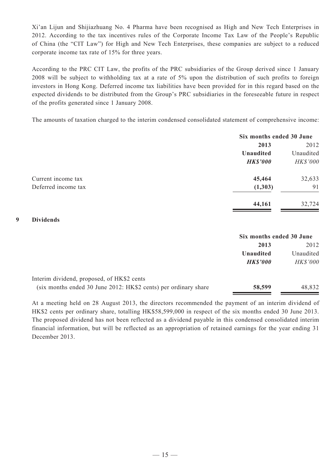Xi'an Lijun and Shijiazhuang No. 4 Pharma have been recognised as High and New Tech Enterprises in 2012. According to the tax incentives rules of the Corporate Income Tax Law of the People's Republic of China (the "CIT Law") for High and New Tech Enterprises, these companies are subject to a reduced corporate income tax rate of 15% for three years.

According to the PRC CIT Law, the profits of the PRC subsidiaries of the Group derived since 1 January 2008 will be subject to withholding tax at a rate of 5% upon the distribution of such profits to foreign investors in Hong Kong. Deferred income tax liabilities have been provided for in this regard based on the expected dividends to be distributed from the Group's PRC subsidiaries in the foreseeable future in respect of the profits generated since 1 January 2008.

The amounts of taxation charged to the interim condensed consolidated statement of comprehensive income:

|                     | Six months ended 30 June |                 |
|---------------------|--------------------------|-----------------|
|                     | 2013                     | 2012            |
|                     | <b>Unaudited</b>         | Unaudited       |
|                     | <b>HK\$'000</b>          | <b>HK\$'000</b> |
| Current income tax  | 45,464                   | 32,633          |
| Deferred income tax | (1, 303)                 | 91              |
|                     | 44,161                   | 32,724          |

#### **9 Dividends**

|                                                                 | Six months ended 30 June |                 |
|-----------------------------------------------------------------|--------------------------|-----------------|
|                                                                 | 2013                     | 2012            |
|                                                                 | Unaudited                | Unaudited       |
|                                                                 | <b>HK\$'000</b>          | <b>HK\$'000</b> |
| Interim dividend, proposed, of HK\$2 cents                      |                          |                 |
| (six months ended 30 June 2012: HK\$2 cents) per ordinary share | 58,599                   | 48,832          |

At a meeting held on 28 August 2013, the directors recommended the payment of an interim dividend of HK\$2 cents per ordinary share, totalling HK\$58,599,000 in respect of the six months ended 30 June 2013. The proposed dividend has not been reflected as a dividend payable in this condensed consolidated interim financial information, but will be reflected as an appropriation of retained earnings for the year ending 31 December 2013.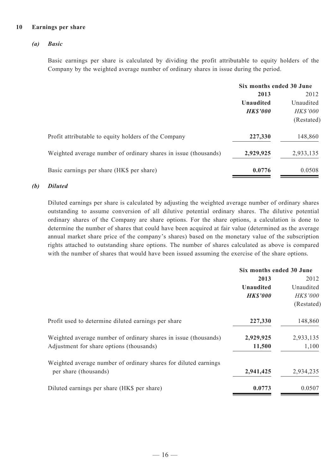#### **10 Earnings per share**

#### *(a) Basic*

Basic earnings per share is calculated by dividing the profit attributable to equity holders of the Company by the weighted average number of ordinary shares in issue during the period.

|                                                                 | Six months ended 30 June            |                 |
|-----------------------------------------------------------------|-------------------------------------|-----------------|
|                                                                 | 2013                                | 2012            |
|                                                                 | <b>Unaudited</b><br><b>HK\$'000</b> | Unaudited       |
|                                                                 |                                     | <b>HK\$'000</b> |
|                                                                 |                                     | (Restated)      |
| Profit attributable to equity holders of the Company            | 227,330                             | 148,860         |
| Weighted average number of ordinary shares in issue (thousands) | 2,929,925                           | 2,933,135       |
| Basic earnings per share (HK\$ per share)                       | 0.0776                              | 0.0508          |

#### *(b) Diluted*

Diluted earnings per share is calculated by adjusting the weighted average number of ordinary shares outstanding to assume conversion of all dilutive potential ordinary shares. The dilutive potential ordinary shares of the Company are share options. For the share options, a calculation is done to determine the number of shares that could have been acquired at fair value (determined as the average annual market share price of the company's shares) based on the monetary value of the subscription rights attached to outstanding share options. The number of shares calculated as above is compared with the number of shares that would have been issued assuming the exercise of the share options.

|                                                                 | Six months ended 30 June           |            |
|-----------------------------------------------------------------|------------------------------------|------------|
|                                                                 | 2013                               | 2012       |
|                                                                 | <b>Unaudited</b>                   | Unaudited  |
|                                                                 | <b>HK\$'000</b><br><b>HK\$'000</b> |            |
|                                                                 |                                    | (Restated) |
| Profit used to determine diluted earnings per share             | 227,330                            | 148,860    |
| Weighted average number of ordinary shares in issue (thousands) | 2,929,925                          | 2,933,135  |
| Adjustment for share options (thousands)                        | 11,500                             | 1,100      |
| Weighted average number of ordinary shares for diluted earnings |                                    |            |
| per share (thousands)                                           | 2,941,425                          | 2,934,235  |
| Diluted earnings per share (HK\$ per share)                     | 0.0773                             | 0.0507     |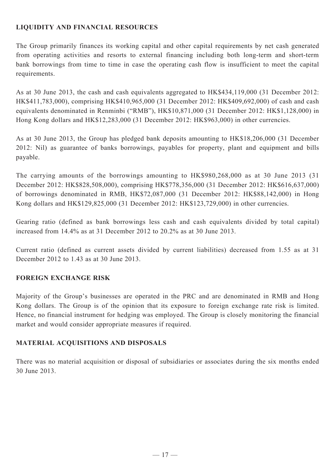# **LIQUIDITY AND FINANCIAL RESOURCES**

The Group primarily finances its working capital and other capital requirements by net cash generated from operating activities and resorts to external financing including both long-term and short-term bank borrowings from time to time in case the operating cash flow is insufficient to meet the capital requirements.

As at 30 June 2013, the cash and cash equivalents aggregated to HK\$434,119,000 (31 December 2012: HK\$411,783,000), comprising HK\$410,965,000 (31 December 2012: HK\$409,692,000) of cash and cash equivalents denominated in Renminbi ("RMB"), HK\$10,871,000 (31 December 2012: HK\$1,128,000) in Hong Kong dollars and HK\$12,283,000 (31 December 2012: HK\$963,000) in other currencies.

As at 30 June 2013, the Group has pledged bank deposits amounting to HK\$18,206,000 (31 December 2012: Nil) as guarantee of banks borrowings, payables for property, plant and equipment and bills payable.

The carrying amounts of the borrowings amounting to HK\$980,268,000 as at 30 June 2013 (31 December 2012: HK\$828,508,000), comprising HK\$778,356,000 (31 December 2012: HK\$616,637,000) of borrowings denominated in RMB, HK\$72,087,000 (31 December 2012: HK\$88,142,000) in Hong Kong dollars and HK\$129,825,000 (31 December 2012: HK\$123,729,000) in other currencies.

Gearing ratio (defined as bank borrowings less cash and cash equivalents divided by total capital) increased from 14.4% as at 31 December 2012 to 20.2% as at 30 June 2013.

Current ratio (defined as current assets divided by current liabilities) decreased from 1.55 as at 31 December 2012 to 1.43 as at 30 June 2013.

# **FOREIGN EXCHANGE RISK**

Majority of the Group's businesses are operated in the PRC and are denominated in RMB and Hong Kong dollars. The Group is of the opinion that its exposure to foreign exchange rate risk is limited. Hence, no financial instrument for hedging was employed. The Group is closely monitoring the financial market and would consider appropriate measures if required.

# **MATERIAL ACQUISITIONS AND DISPOSALS**

There was no material acquisition or disposal of subsidiaries or associates during the six months ended 30 June 2013.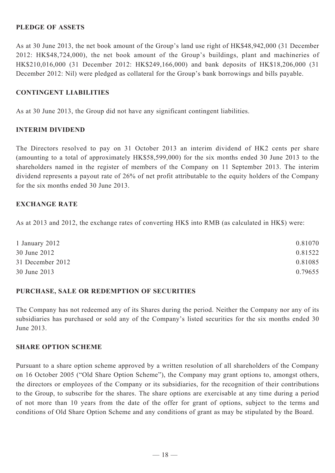## **PLEDGE OF ASSETS**

As at 30 June 2013, the net book amount of the Group's land use right of HK\$48,942,000 (31 December 2012: HK\$48,724,000), the net book amount of the Group's buildings, plant and machineries of HK\$210,016,000 (31 December 2012: HK\$249,166,000) and bank deposits of HK\$18,206,000 (31 December 2012: Nil) were pledged as collateral for the Group's bank borrowings and bills payable.

## **CONTINGENT LIABILITIES**

As at 30 June 2013, the Group did not have any significant contingent liabilities.

## **INTERIM DIVIDEND**

The Directors resolved to pay on 31 October 2013 an interim dividend of HK2 cents per share (amounting to a total of approximately HK\$58,599,000) for the six months ended 30 June 2013 to the shareholders named in the register of members of the Company on 11 September 2013. The interim dividend represents a payout rate of 26% of net profit attributable to the equity holders of the Company for the six months ended 30 June 2013.

## **EXCHANGE RATE**

As at 2013 and 2012, the exchange rates of converting HK\$ into RMB (as calculated in HK\$) were:

| 1 January 2012   | 0.81070 |
|------------------|---------|
| 30 June 2012     | 0.81522 |
| 31 December 2012 | 0.81085 |
| 30 June 2013     | 0.79655 |

## **PURCHASE, SALE OR REDEMPTION OF SECURITIES**

The Company has not redeemed any of its Shares during the period. Neither the Company nor any of its subsidiaries has purchased or sold any of the Company's listed securities for the six months ended 30 June 2013.

## **SHARE OPTION SCHEME**

Pursuant to a share option scheme approved by a written resolution of all shareholders of the Company on 16 October 2005 ("Old Share Option Scheme"), the Company may grant options to, amongst others, the directors or employees of the Company or its subsidiaries, for the recognition of their contributions to the Group, to subscribe for the shares. The share options are exercisable at any time during a period of not more than 10 years from the date of the offer for grant of options, subject to the terms and conditions of Old Share Option Scheme and any conditions of grant as may be stipulated by the Board.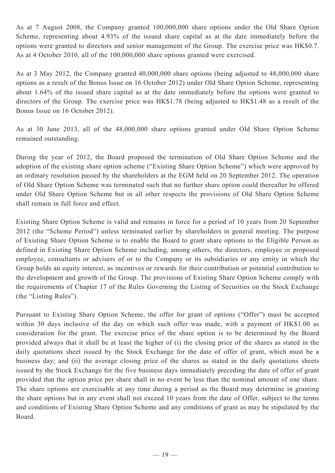As at 7 August 2008, the Company granted 100,000,000 share options under the Old Share Option Scheme, representing about 4.93% of the issued share capital as at the date immediately before the options were granted to directors and senior management of the Group. The exercise price was HK\$0.7. As at 4 October 2010, all of the 100,000,000 share options granted were exercised.

As at 3 May 2012, the Company granted 40,000,000 share options (being adjusted to 48,000,000 share options as a result of the Bonus Issue on 16 October 2012) under Old Share Option Scheme, representing about 1.64% of the issued share capital as at the date immediately before the options were granted to directors of the Group. The exercise price was HK\$1.78 (being adjusted to HK\$1.48 as a result of the Bonus Issue on 16 October 2012).

As at 30 June 2013, all of the 48,000,000 share options granted under Old Share Option Scheme remained outstanding.

During the year of 2012, the Board proposed the termination of Old Share Option Scheme and the adoption of the existing share option scheme ("Existing Share Option Scheme") which were approved by an ordinary resolution passed by the shareholders at the EGM held on 20 September 2012. The operation of Old Share Option Scheme was terminated such that no further share option could thereafter be offered under Old Share Option Scheme but in all other respects the provisions of Old Share Option Scheme shall remain in full force and effect.

Existing Share Option Scheme is valid and remains in force for a period of 10 years from 20 September 2012 (the "Scheme Period") unless terminated earlier by shareholders in general meeting. The purpose of Existing Share Option Scheme is to enable the Board to grant share options to the Eligible Person as defined in Existing Share Option Scheme including, among others, the directors, employee or proposed employee, consultants or advisers of or to the Company or its subsidiaries or any entity in which the Group holds an equity interest, as incentives or rewards for their contribution or potential contribution to the development and growth of the Group. The provisions of Existing Share Option Scheme comply with the requirements of Chapter 17 of the Rules Governing the Listing of Securities on the Stock Exchange (the "Listing Rules").

Pursuant to Existing Share Option Scheme, the offer for grant of options ("Offer") must be accepted within 30 days inclusive of the day on which such offer was made, with a payment of HK\$1.00 as consideration for the grant. The exercise price of the share option is to be determined by the Board provided always that it shall be at least the higher of (i) the closing price of the shares as stated in the daily quotations sheet issued by the Stock Exchange for the date of offer of grant, which must be a business day; and (ii) the average closing price of the shares as stated in the daily quotations sheets issued by the Stock Exchange for the five business days immediately preceding the date of offer of grant provided that the option price per share shall in no event be less than the nominal amount of one share. The share options are exercisable at any time during a period as the Board may determine in granting the share options but in any event shall not exceed 10 years from the date of Offer, subject to the terms and conditions of Existing Share Option Scheme and any conditions of grant as may be stipulated by the Board.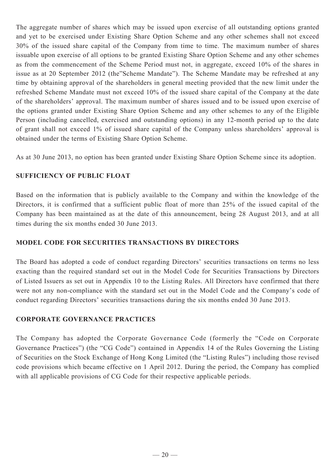The aggregate number of shares which may be issued upon exercise of all outstanding options granted and yet to be exercised under Existing Share Option Scheme and any other schemes shall not exceed 30% of the issued share capital of the Company from time to time. The maximum number of shares issuable upon exercise of all options to be granted Existing Share Option Scheme and any other schemes as from the commencement of the Scheme Period must not, in aggregate, exceed 10% of the shares in issue as at 20 September 2012 (the"Scheme Mandate"). The Scheme Mandate may be refreshed at any time by obtaining approval of the shareholders in general meeting provided that the new limit under the refreshed Scheme Mandate must not exceed 10% of the issued share capital of the Company at the date of the shareholders' approval. The maximum number of shares issued and to be issued upon exercise of the options granted under Existing Share Option Scheme and any other schemes to any of the Eligible Person (including cancelled, exercised and outstanding options) in any 12-month period up to the date of grant shall not exceed 1% of issued share capital of the Company unless shareholders' approval is obtained under the terms of Existing Share Option Scheme.

As at 30 June 2013, no option has been granted under Existing Share Option Scheme since its adoption.

# **SUFFICIENCY OF PUBLIC FLOAT**

Based on the information that is publicly available to the Company and within the knowledge of the Directors, it is confirmed that a sufficient public float of more than 25% of the issued capital of the Company has been maintained as at the date of this announcement, being 28 August 2013, and at all times during the six months ended 30 June 2013.

# **MODEL CODE FOR SECURITIES TRANSACTIONS BY DIRECTORS**

The Board has adopted a code of conduct regarding Directors' securities transactions on terms no less exacting than the required standard set out in the Model Code for Securities Transactions by Directors of Listed Issuers as set out in Appendix 10 to the Listing Rules. All Directors have confirmed that there were not any non-compliance with the standard set out in the Model Code and the Company's code of conduct regarding Directors' securities transactions during the six months ended 30 June 2013.

# **CORPORATE GOVERNANCE PRACTICES**

The Company has adopted the Corporate Governance Code (formerly the "Code on Corporate Governance Practices") (the "CG Code") contained in Appendix 14 of the Rules Governing the Listing of Securities on the Stock Exchange of Hong Kong Limited (the "Listing Rules") including those revised code provisions which became effective on 1 April 2012. During the period, the Company has complied with all applicable provisions of CG Code for their respective applicable periods.